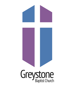# Greystone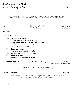# **The Worship of God**  Seventh Sunday of Easter May 29, 2022

*All are invited to sing during worship! Masks are recommended but not required. For anyone who would like to wear a mask but does not have one, they are available at the back of the sanctuary.* 

**Prelude** "Shine, Jesus Shine"By Graham Kendrick,

**Tim Hendrix arr.** Mark Hayes

**Welcome Chrissy Tatum Williamson** 

## **☦ Call to Worship**

 One: The earth is the Lord's! Everything in creation belongs to God.

### **All: Lift up your eyes! See the mighty works of the Lord!**

- One: This is the Lord's house! All who hope in the Lord will be called children of God.
- **All: Lift up your hearts! Receive the gracious gifts of the Lord!**
- One: This is the hour for worship and song.
- **All: Lift up your voice! Praise the Lord with all your might!**

**The Opening Hymn 370** "Rejoice, the Lord is King" DARWALL;

Words and Music by David Binion

 *During the last stanza of our opening hymn, all children are invited to come forward for today's children's sermon.*

## **Children's Sermon April Alston April Alston April Alston April Alston**

 *As our offertory is played, please feel free to place your offering in the plates that are passed, or you can also give online at [greystonechurch.org/](http://greystonechurch.org/)give.* 

☦ Please rise in body or spirit.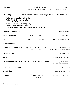| <b>Offertory</b>                                                                                                                                                                                                                                      | "O God, Beyond All Praising"<br>Steve Rose and Tim Hendrix         | THAXTED;<br>by Gustav Holst, arr. Mark Albrecht      |
|-------------------------------------------------------------------------------------------------------------------------------------------------------------------------------------------------------------------------------------------------------|--------------------------------------------------------------------|------------------------------------------------------|
| † Doxology                                                                                                                                                                                                                                            | "Praise God from Whom All Blessings Flow"                          | <b>LASST UNS ERFREUEN</b>                            |
| Praise God, from whom all blessings flow;<br>Praise Christ, all people here below;<br>O praise God! Alleluia!<br>Praise God above, ye heavenly host;<br>Creator, Christ, and Holy Ghost.<br>O praise God! O praise God! Alleluia! Alleluia! Alleluia! |                                                                    |                                                      |
| <b><i>T</i></b> Prayer of Dedication                                                                                                                                                                                                                  |                                                                    | Joanne Thompson                                      |
| <b>Scripture Reading</b>                                                                                                                                                                                                                              | Revelation 3:14-22                                                 | <b>Tobie Steele</b>                                  |
| <b>Sermon</b>                                                                                                                                                                                                                                         | "The Knock at the Door"                                            | Chrissy Tatum Williamson                             |
| <b>Silent Reflection</b>                                                                                                                                                                                                                              |                                                                    |                                                      |
| <b><i><u><b>A</b></u></i></b> Musical Reflection 429                                                                                                                                                                                                  | "They'll Know We Are Christians<br>by Our Love"                    | ST. BRENDAN'S;<br>Words and Music by Peter Scholtes  |
| <b>Pastoral Prayer</b>                                                                                                                                                                                                                                |                                                                    | Anna Beth Cross                                      |
| <b>Invitation</b>                                                                                                                                                                                                                                     |                                                                    | Chrissy Tatum Williamson                             |
|                                                                                                                                                                                                                                                       | <b>The Hymn of Response 415</b> "We Are Called to Be God's People" | <b>AUSTRIAN HYMN;</b><br>Words by Thomas A. Jackson, |
| <b>Celebrating Community</b>                                                                                                                                                                                                                          |                                                                    | April Alston                                         |
| <b>Benediction</b>                                                                                                                                                                                                                                    |                                                                    | Chrissy Tatum Williamson                             |
| <b>Postlude</b>                                                                                                                                                                                                                                       | "O Magnify the Lord"<br>Pam Weis                                   | by Melodie and Dick Tunney                           |